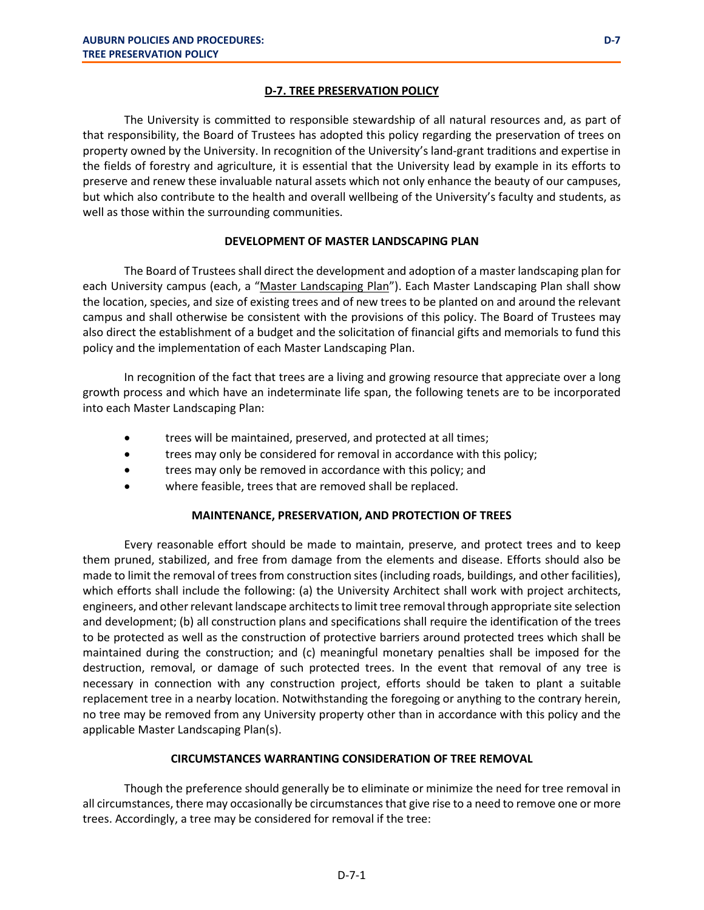### **D-7. TREE PRESERVATION POLICY**

The University is committed to responsible stewardship of all natural resources and, as part of that responsibility, the Board of Trustees has adopted this policy regarding the preservation of trees on property owned by the University. In recognition of the University's land-grant traditions and expertise in the fields of forestry and agriculture, it is essential that the University lead by example in its efforts to preserve and renew these invaluable natural assets which not only enhance the beauty of our campuses, but which also contribute to the health and overall wellbeing of the University's faculty and students, as well as those within the surrounding communities.

# **DEVELOPMENT OF MASTER LANDSCAPING PLAN**

The Board of Trustees shall direct the development and adoption of a master landscaping plan for each University campus (each, a "Master Landscaping Plan"). Each Master Landscaping Plan shall show the location, species, and size of existing trees and of new trees to be planted on and around the relevant campus and shall otherwise be consistent with the provisions of this policy. The Board of Trustees may also direct the establishment of a budget and the solicitation of financial gifts and memorials to fund this policy and the implementation of each Master Landscaping Plan.

In recognition of the fact that trees are a living and growing resource that appreciate over a long growth process and which have an indeterminate life span, the following tenets are to be incorporated into each Master Landscaping Plan:

- trees will be maintained, preserved, and protected at all times;
- trees may only be considered for removal in accordance with this policy;
- trees may only be removed in accordance with this policy; and
- where feasible, trees that are removed shall be replaced.

# **MAINTENANCE, PRESERVATION, AND PROTECTION OF TREES**

Every reasonable effort should be made to maintain, preserve, and protect trees and to keep them pruned, stabilized, and free from damage from the elements and disease. Efforts should also be made to limit the removal of trees from construction sites (including roads, buildings, and other facilities), which efforts shall include the following: (a) the University Architect shall work with project architects, engineers, and other relevant landscape architects to limit tree removal through appropriate site selection and development; (b) all construction plans and specifications shall require the identification of the trees to be protected as well as the construction of protective barriers around protected trees which shall be maintained during the construction; and (c) meaningful monetary penalties shall be imposed for the destruction, removal, or damage of such protected trees. In the event that removal of any tree is necessary in connection with any construction project, efforts should be taken to plant a suitable replacement tree in a nearby location. Notwithstanding the foregoing or anything to the contrary herein, no tree may be removed from any University property other than in accordance with this policy and the applicable Master Landscaping Plan(s).

# **CIRCUMSTANCES WARRANTING CONSIDERATION OF TREE REMOVAL**

Though the preference should generally be to eliminate or minimize the need for tree removal in all circumstances, there may occasionally be circumstances that give rise to a need to remove one or more trees. Accordingly, a tree may be considered for removal if the tree: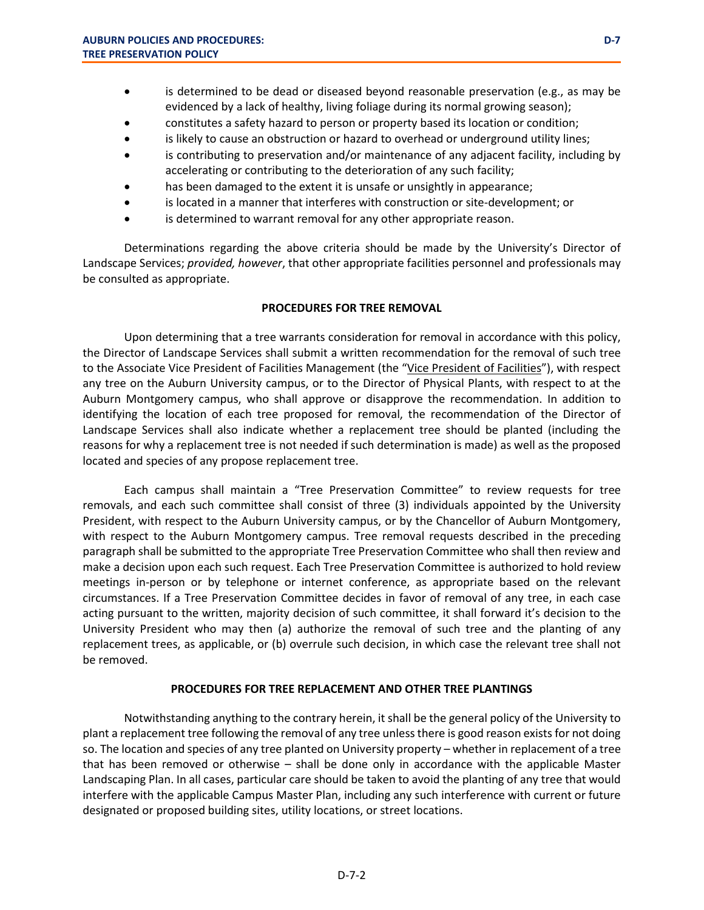- is determined to be dead or diseased beyond reasonable preservation (e.g., as may be evidenced by a lack of healthy, living foliage during its normal growing season);
- constitutes a safety hazard to person or property based its location or condition;
- is likely to cause an obstruction or hazard to overhead or underground utility lines;
- is contributing to preservation and/or maintenance of any adjacent facility, including by accelerating or contributing to the deterioration of any such facility;
- has been damaged to the extent it is unsafe or unsightly in appearance;
- is located in a manner that interferes with construction or site-development; or
- is determined to warrant removal for any other appropriate reason.

Determinations regarding the above criteria should be made by the University's Director of Landscape Services; *provided, however*, that other appropriate facilities personnel and professionals may be consulted as appropriate.

#### **PROCEDURES FOR TREE REMOVAL**

Upon determining that a tree warrants consideration for removal in accordance with this policy, the Director of Landscape Services shall submit a written recommendation for the removal of such tree to the Associate Vice President of Facilities Management (the "Vice President of Facilities"), with respect any tree on the Auburn University campus, or to the Director of Physical Plants, with respect to at the Auburn Montgomery campus, who shall approve or disapprove the recommendation. In addition to identifying the location of each tree proposed for removal, the recommendation of the Director of Landscape Services shall also indicate whether a replacement tree should be planted (including the reasons for why a replacement tree is not needed if such determination is made) as well as the proposed located and species of any propose replacement tree.

Each campus shall maintain a "Tree Preservation Committee" to review requests for tree removals, and each such committee shall consist of three (3) individuals appointed by the University President, with respect to the Auburn University campus, or by the Chancellor of Auburn Montgomery, with respect to the Auburn Montgomery campus. Tree removal requests described in the preceding paragraph shall be submitted to the appropriate Tree Preservation Committee who shall then review and make a decision upon each such request. Each Tree Preservation Committee is authorized to hold review meetings in-person or by telephone or internet conference, as appropriate based on the relevant circumstances. If a Tree Preservation Committee decides in favor of removal of any tree, in each case acting pursuant to the written, majority decision of such committee, it shall forward it's decision to the University President who may then (a) authorize the removal of such tree and the planting of any replacement trees, as applicable, or (b) overrule such decision, in which case the relevant tree shall not be removed.

#### **PROCEDURES FOR TREE REPLACEMENT AND OTHER TREE PLANTINGS**

Notwithstanding anything to the contrary herein, it shall be the general policy of the University to plant a replacement tree following the removal of any tree unless there is good reason exists for not doing so. The location and species of any tree planted on University property – whether in replacement of a tree that has been removed or otherwise – shall be done only in accordance with the applicable Master Landscaping Plan. In all cases, particular care should be taken to avoid the planting of any tree that would interfere with the applicable Campus Master Plan, including any such interference with current or future designated or proposed building sites, utility locations, or street locations.